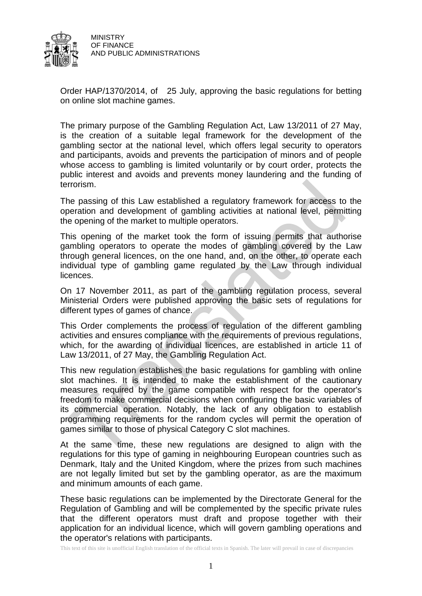

Order HAP/1370/2014, of 25 July, approving the basic regulations for betting on online slot machine games.

The primary purpose of the Gambling Regulation Act, Law 13/2011 of 27 May, is the creation of a suitable legal framework for the development of the gambling sector at the national level, which offers legal security to operators and participants, avoids and prevents the participation of minors and of people whose access to gambling is limited voluntarily or by court order, protects the public interest and avoids and prevents money laundering and the funding of terrorism.

The passing of this Law established a regulatory framework for access to the operation and development of gambling activities at national level, permitting the opening of the market to multiple operators.

This opening of the market took the form of issuing permits that authorise gambling operators to operate the modes of gambling covered by the Law through general licences, on the one hand, and, on the other, to operate each individual type of gambling game regulated by the Law through individual licences.

On 17 November 2011, as part of the gambling regulation process, several Ministerial Orders were published approving the basic sets of regulations for different types of games of chance.

This Order complements the process of regulation of the different gambling activities and ensures compliance with the requirements of previous regulations, which, for the awarding of individual licences, are established in article 11 of Law 13/2011, of 27 May, the Gambling Regulation Act.

This new regulation establishes the basic regulations for gambling with online slot machines. It is intended to make the establishment of the cautionary measures required by the game compatible with respect for the operator's freedom to make commercial decisions when configuring the basic variables of its commercial operation. Notably, the lack of any obligation to establish programming requirements for the random cycles will permit the operation of games similar to those of physical Category C slot machines.

At the same time, these new regulations are designed to align with the regulations for this type of gaming in neighbouring European countries such as Denmark, Italy and the United Kingdom, where the prizes from such machines are not legally limited but set by the gambling operator, as are the maximum and minimum amounts of each game.

These basic regulations can be implemented by the Directorate General for the Regulation of Gambling and will be complemented by the specific private rules that the different operators must draft and propose together with their application for an individual licence, which will govern gambling operations and the operator's relations with participants.

This text of this site is unofficial English translation of the official texts in Spanish. The later will prevail in case of discrepancies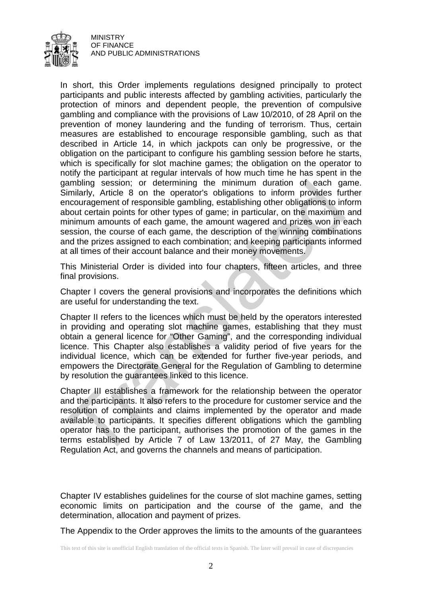

In short, this Order implements regulations designed principally to protect participants and public interests affected by gambling activities, particularly the protection of minors and dependent people, the prevention of compulsive gambling and compliance with the provisions of Law 10/2010, of 28 April on the prevention of money laundering and the funding of terrorism. Thus, certain measures are established to encourage responsible gambling, such as that described in Article 14, in which jackpots can only be progressive, or the obligation on the participant to configure his gambling session before he starts, which is specifically for slot machine games; the obligation on the operator to notify the participant at regular intervals of how much time he has spent in the gambling session; or determining the minimum duration of each game. Similarly, Article 8 on the operator's obligations to inform provides further encouragement of responsible gambling, establishing other obligations to inform about certain points for other types of game; in particular, on the maximum and minimum amounts of each game, the amount wagered and prizes won in each session, the course of each game, the description of the winning combinations and the prizes assigned to each combination; and keeping participants informed at all times of their account balance and their money movements.

This Ministerial Order is divided into four chapters, fifteen articles, and three final provisions.

Chapter I covers the general provisions and incorporates the definitions which are useful for understanding the text.

Chapter II refers to the licences which must be held by the operators interested in providing and operating slot machine games, establishing that they must obtain a general licence for "Other Gaming", and the corresponding individual licence. This Chapter also establishes a validity period of five years for the individual licence, which can be extended for further five-year periods, and empowers the Directorate General for the Regulation of Gambling to determine by resolution the guarantees linked to this licence.

Chapter III establishes a framework for the relationship between the operator and the participants. It also refers to the procedure for customer service and the resolution of complaints and claims implemented by the operator and made available to participants. It specifies different obligations which the gambling operator has to the participant, authorises the promotion of the games in the terms established by Article 7 of Law 13/2011, of 27 May, the Gambling Regulation Act, and governs the channels and means of participation.

Chapter IV establishes guidelines for the course of slot machine games, setting economic limits on participation and the course of the game, and the determination, allocation and payment of prizes.

The Appendix to the Order approves the limits to the amounts of the guarantees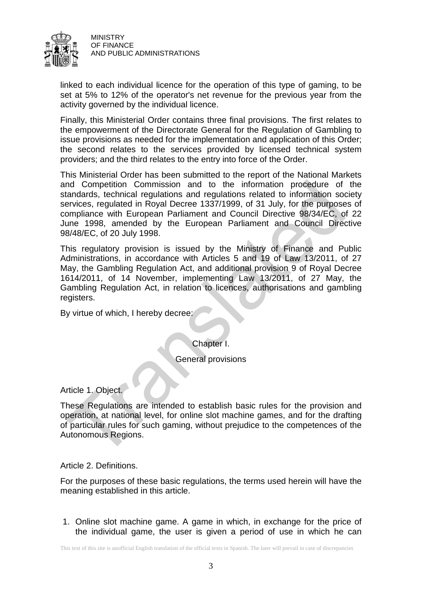

linked to each individual licence for the operation of this type of gaming, to be set at 5% to 12% of the operator's net revenue for the previous year from the activity governed by the individual licence.

Finally, this Ministerial Order contains three final provisions. The first relates to the empowerment of the Directorate General for the Regulation of Gambling to issue provisions as needed for the implementation and application of this Order; the second relates to the services provided by licensed technical system providers; and the third relates to the entry into force of the Order.

This Ministerial Order has been submitted to the report of the National Markets and Competition Commission and to the information procedure of the standards, technical regulations and regulations related to information society services, regulated in Royal Decree 1337/1999, of 31 July, for the purposes of compliance with European Parliament and Council Directive 98/34/EC, of 22 June 1998, amended by the European Parliament and Council Directive 98/48/EC, of 20 July 1998.

This regulatory provision is issued by the Ministry of Finance and Public Administrations, in accordance with Articles 5 and 19 of Law 13/2011, of 27 May, the Gambling Regulation Act, and additional provision 9 of Royal Decree 1614/2011, of 14 November, implementing Law 13/2011, of 27 May, the Gambling Regulation Act, in relation to licences, authorisations and gambling registers.

By virtue of which, I hereby decree:

Chapter I.

General provisions

Article 1. Object.

These Regulations are intended to establish basic rules for the provision and operation, at national level, for online slot machine games, and for the drafting of particular rules for such gaming, without prejudice to the competences of the Autonomous Regions.

Article 2. Definitions.

For the purposes of these basic regulations, the terms used herein will have the meaning established in this article.

1. Online slot machine game. A game in which, in exchange for the price of the individual game, the user is given a period of use in which he can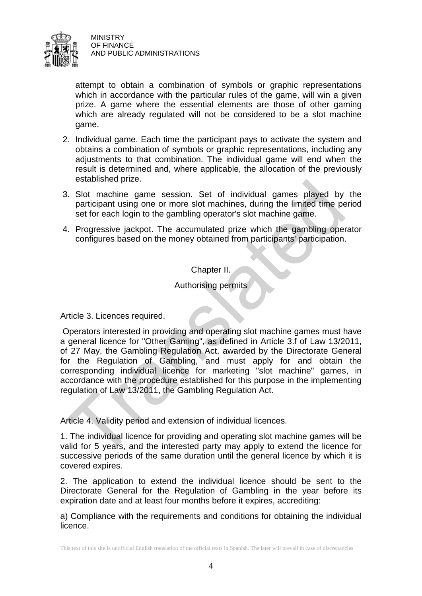

attempt to obtain a combination of symbols or graphic representations which in accordance with the particular rules of the game, will win a given prize. A game where the essential elements are those of other gaming which are already regulated will not be considered to be a slot machine game.

- 2. Individual game. Each time the participant pays to activate the system and obtains a combination of symbols or graphic representations, including any adjustments to that combination. The individual game will end when the result is determined and, where applicable, the allocation of the previously established prize.
- 3. Slot machine game session. Set of individual games played by the participant using one or more slot machines, during the limited time period set for each login to the gambling operator's slot machine game.
- 4. Progressive jackpot. The accumulated prize which the gambling operator configures based on the money obtained from participants' participation.

Chapter II.

Authorising permits

Article 3. Licences required.

Operators interested in providing and operating slot machine games must have a general licence for "Other Gaming", as defined in Article 3.f of Law 13/2011, of 27 May, the Gambling Regulation Act, awarded by the Directorate General for the Regulation of Gambling, and must apply for and obtain the corresponding individual licence for marketing "slot machine" games, in accordance with the procedure established for this purpose in the implementing regulation of Law 13/2011, the Gambling Regulation Act.

Article 4. Validity period and extension of individual licences.

1. The individual licence for providing and operating slot machine games will be valid for 5 years, and the interested party may apply to extend the licence for successive periods of the same duration until the general licence by which it is covered expires.

2. The application to extend the individual licence should be sent to the Directorate General for the Regulation of Gambling in the year before its expiration date and at least four months before it expires, accrediting:

a) Compliance with the requirements and conditions for obtaining the individual licence.

This text of this site is unofficial English translation of the official texts in Spanish. The later will prevail in case of discrepancies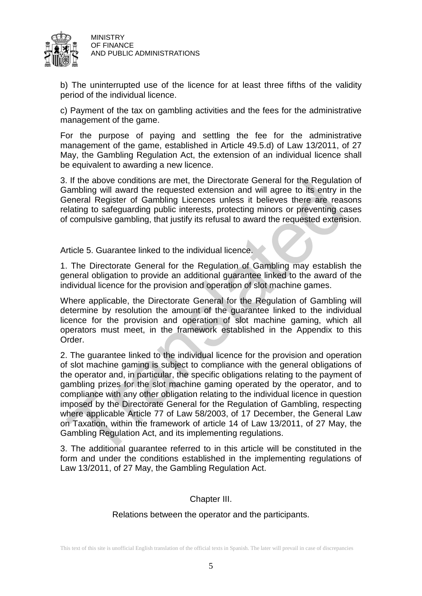

b) The uninterrupted use of the licence for at least three fifths of the validity period of the individual licence.

c) Payment of the tax on gambling activities and the fees for the administrative management of the game.

For the purpose of paying and settling the fee for the administrative management of the game, established in Article 49.5.d) of Law 13/2011, of 27 May, the Gambling Regulation Act, the extension of an individual licence shall be equivalent to awarding a new licence.

3. If the above conditions are met, the Directorate General for the Regulation of Gambling will award the requested extension and will agree to its entry in the General Register of Gambling Licences unless it believes there are reasons relating to safeguarding public interests, protecting minors or preventing cases of compulsive gambling, that justify its refusal to award the requested extension.

Article 5. Guarantee linked to the individual licence.

1. The Directorate General for the Regulation of Gambling may establish the general obligation to provide an additional guarantee linked to the award of the individual licence for the provision and operation of slot machine games.

Where applicable, the Directorate General for the Regulation of Gambling will determine by resolution the amount of the guarantee linked to the individual licence for the provision and operation of slot machine gaming, which all operators must meet, in the framework established in the Appendix to this Order.

2. The guarantee linked to the individual licence for the provision and operation of slot machine gaming is subject to compliance with the general obligations of the operator and, in particular, the specific obligations relating to the payment of gambling prizes for the slot machine gaming operated by the operator, and to compliance with any other obligation relating to the individual licence in question imposed by the Directorate General for the Regulation of Gambling, respecting where applicable Article 77 of Law 58/2003, of 17 December, the General Law on Taxation, within the framework of article 14 of Law 13/2011, of 27 May, the Gambling Regulation Act, and its implementing regulations.

3. The additional guarantee referred to in this article will be constituted in the form and under the conditions established in the implementing regulations of Law 13/2011, of 27 May, the Gambling Regulation Act.

## Chapter III.

### Relations between the operator and the participants.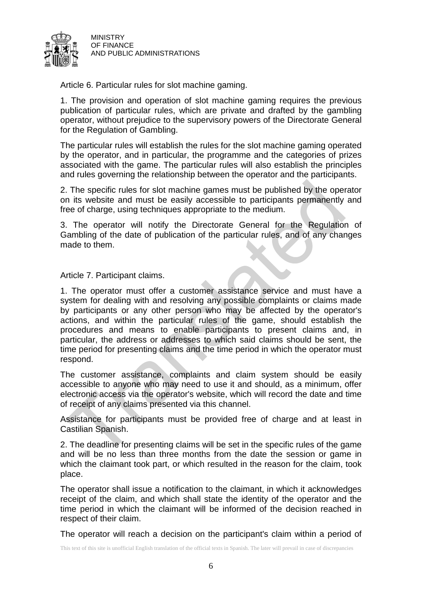

Article 6. Particular rules for slot machine gaming.

1. The provision and operation of slot machine gaming requires the previous publication of particular rules, which are private and drafted by the gambling operator, without prejudice to the supervisory powers of the Directorate General for the Regulation of Gambling.

The particular rules will establish the rules for the slot machine gaming operated by the operator, and in particular, the programme and the categories of prizes associated with the game. The particular rules will also establish the principles and rules governing the relationship between the operator and the participants.

2. The specific rules for slot machine games must be published by the operator on its website and must be easily accessible to participants permanently and free of charge, using techniques appropriate to the medium.

3. The operator will notify the Directorate General for the Regulation of Gambling of the date of publication of the particular rules, and of any changes made to them.

Article 7. Participant claims.

1. The operator must offer a customer assistance service and must have a system for dealing with and resolving any possible complaints or claims made by participants or any other person who may be affected by the operator's actions, and within the particular rules of the game, should establish the procedures and means to enable participants to present claims and, in particular, the address or addresses to which said claims should be sent, the time period for presenting claims and the time period in which the operator must respond.

The customer assistance, complaints and claim system should be easily accessible to anyone who may need to use it and should, as a minimum, offer electronic access via the operator's website, which will record the date and time of receipt of any claims presented via this channel.

Assistance for participants must be provided free of charge and at least in Castilian Spanish.

2. The deadline for presenting claims will be set in the specific rules of the game and will be no less than three months from the date the session or game in which the claimant took part, or which resulted in the reason for the claim, took place.

The operator shall issue a notification to the claimant, in which it acknowledges receipt of the claim, and which shall state the identity of the operator and the time period in which the claimant will be informed of the decision reached in respect of their claim.

The operator will reach a decision on the participant's claim within a period of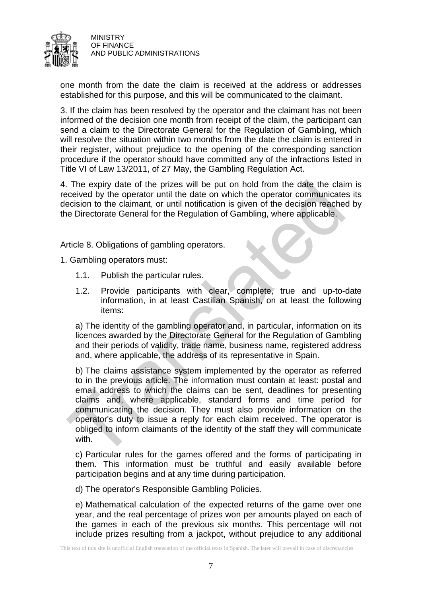

one month from the date the claim is received at the address or addresses established for this purpose, and this will be communicated to the claimant.

3. If the claim has been resolved by the operator and the claimant has not been informed of the decision one month from receipt of the claim, the participant can send a claim to the Directorate General for the Regulation of Gambling, which will resolve the situation within two months from the date the claim is entered in their register, without prejudice to the opening of the corresponding sanction procedure if the operator should have committed any of the infractions listed in Title VI of Law 13/2011, of 27 May, the Gambling Regulation Act.

4. The expiry date of the prizes will be put on hold from the date the claim is received by the operator until the date on which the operator communicates its decision to the claimant, or until notification is given of the decision reached by the Directorate General for the Regulation of Gambling, where applicable.

Article 8. Obligations of gambling operators.

1. Gambling operators must:

- 1.1. Publish the particular rules.
- 1.2. Provide participants with clear, complete, true and up-to-date information, in at least Castilian Spanish, on at least the following items:

a) The identity of the gambling operator and, in particular, information on its licences awarded by the Directorate General for the Regulation of Gambling and their periods of validity, trade name, business name, registered address and, where applicable, the address of its representative in Spain.

b) The claims assistance system implemented by the operator as referred to in the previous article. The information must contain at least: postal and email address to which the claims can be sent, deadlines for presenting claims and, where applicable, standard forms and time period for communicating the decision. They must also provide information on the operator's duty to issue a reply for each claim received. The operator is obliged to inform claimants of the identity of the staff they will communicate with.

c) Particular rules for the games offered and the forms of participating in them. This information must be truthful and easily available before participation begins and at any time during participation.

d) The operator's Responsible Gambling Policies.

e) Mathematical calculation of the expected returns of the game over one year, and the real percentage of prizes won per amounts played on each of the games in each of the previous six months. This percentage will not include prizes resulting from a jackpot, without prejudice to any additional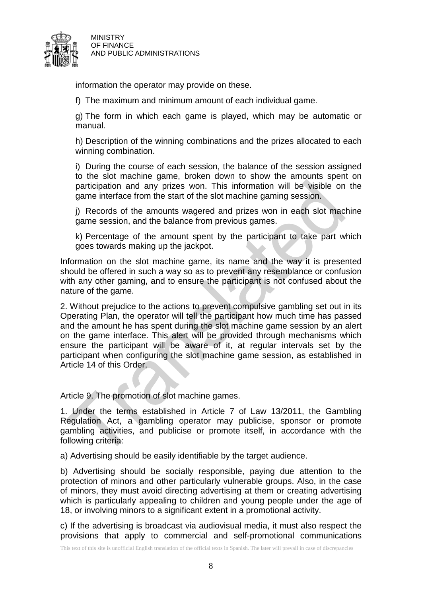

information the operator may provide on these.

f) The maximum and minimum amount of each individual game.

g) The form in which each game is played, which may be automatic or manual.

h) Description of the winning combinations and the prizes allocated to each winning combination.

i) During the course of each session, the balance of the session assigned to the slot machine game, broken down to show the amounts spent on participation and any prizes won. This information will be visible on the game interface from the start of the slot machine gaming session.

j) Records of the amounts wagered and prizes won in each slot machine game session, and the balance from previous games.

k) Percentage of the amount spent by the participant to take part which goes towards making up the jackpot.

Information on the slot machine game, its name and the way it is presented should be offered in such a way so as to prevent any resemblance or confusion with any other gaming, and to ensure the participant is not confused about the nature of the game.

2. Without prejudice to the actions to prevent compulsive gambling set out in its Operating Plan, the operator will tell the participant how much time has passed and the amount he has spent during the slot machine game session by an alert on the game interface. This alert will be provided through mechanisms which ensure the participant will be aware of it, at regular intervals set by the participant when configuring the slot machine game session, as established in Article 14 of this Order.

Article 9. The promotion of slot machine games.

1. Under the terms established in Article 7 of Law 13/2011, the Gambling Regulation Act, a gambling operator may publicise, sponsor or promote gambling activities, and publicise or promote itself, in accordance with the following criteria:

a) Advertising should be easily identifiable by the target audience.

b) Advertising should be socially responsible, paying due attention to the protection of minors and other particularly vulnerable groups. Also, in the case of minors, they must avoid directing advertising at them or creating advertising which is particularly appealing to children and young people under the age of 18, or involving minors to a significant extent in a promotional activity.

c) If the advertising is broadcast via audiovisual media, it must also respect the provisions that apply to commercial and self-promotional communications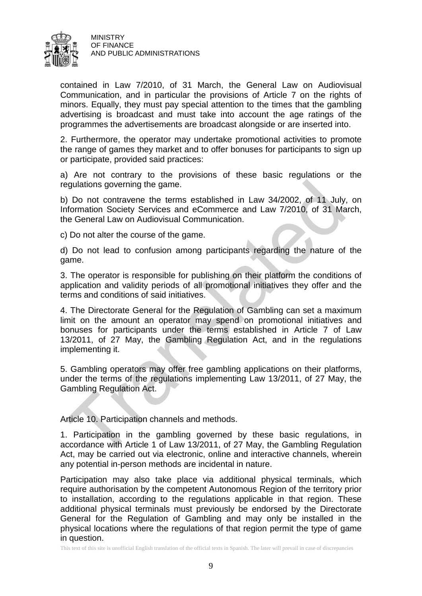

contained in Law 7/2010, of 31 March, the General Law on Audiovisual Communication, and in particular the provisions of Article 7 on the rights of minors. Equally, they must pay special attention to the times that the gambling advertising is broadcast and must take into account the age ratings of the programmes the advertisements are broadcast alongside or are inserted into.

2. Furthermore, the operator may undertake promotional activities to promote the range of games they market and to offer bonuses for participants to sign up or participate, provided said practices:

a) Are not contrary to the provisions of these basic regulations or the regulations governing the game.

b) Do not contravene the terms established in Law 34/2002, of 11 July, on Information Society Services and eCommerce and Law 7/2010, of 31 March, the General Law on Audiovisual Communication.

c) Do not alter the course of the game.

d) Do not lead to confusion among participants regarding the nature of the game.

3. The operator is responsible for publishing on their platform the conditions of application and validity periods of all promotional initiatives they offer and the terms and conditions of said initiatives.

4. The Directorate General for the Regulation of Gambling can set a maximum limit on the amount an operator may spend on promotional initiatives and bonuses for participants under the terms established in Article 7 of Law 13/2011, of 27 May, the Gambling Regulation Act, and in the regulations implementing it.

5. Gambling operators may offer free gambling applications on their platforms, under the terms of the regulations implementing Law 13/2011, of 27 May, the Gambling Regulation Act.

Article 10. Participation channels and methods.

1. Participation in the gambling governed by these basic regulations, in accordance with Article 1 of Law 13/2011, of 27 May, the Gambling Regulation Act, may be carried out via electronic, online and interactive channels, wherein any potential in-person methods are incidental in nature.

Participation may also take place via additional physical terminals, which require authorisation by the competent Autonomous Region of the territory prior to installation, according to the regulations applicable in that region. These additional physical terminals must previously be endorsed by the Directorate General for the Regulation of Gambling and may only be installed in the physical locations where the regulations of that region permit the type of game in question.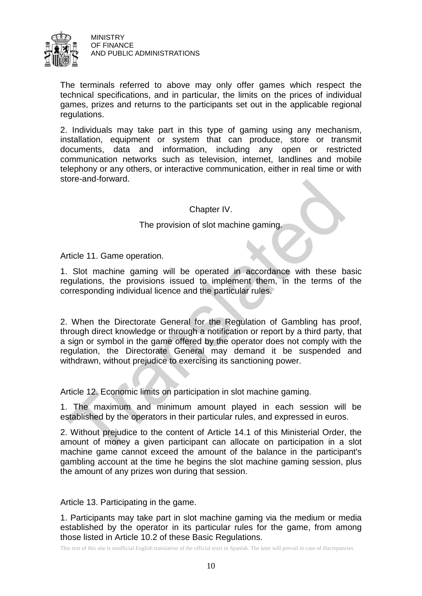

The terminals referred to above may only offer games which respect the technical specifications, and in particular, the limits on the prices of individual games, prizes and returns to the participants set out in the applicable regional regulations.

2. Individuals may take part in this type of gaming using any mechanism, installation, equipment or system that can produce, store or transmit documents, data and information, including any open or restricted communication networks such as television, internet, landlines and mobile telephony or any others, or interactive communication, either in real time or with store-and-forward.

# Chapter IV.

# The provision of slot machine gaming.

Article 11. Game operation.

1. Slot machine gaming will be operated in accordance with these basic regulations, the provisions issued to implement them, in the terms of the corresponding individual licence and the particular rules.

2. When the Directorate General for the Regulation of Gambling has proof, through direct knowledge or through a notification or report by a third party, that a sign or symbol in the game offered by the operator does not comply with the regulation, the Directorate General may demand it be suspended and withdrawn, without prejudice to exercising its sanctioning power.

Article 12. Economic limits on participation in slot machine gaming.

1. The maximum and minimum amount played in each session will be established by the operators in their particular rules, and expressed in euros.

2. Without prejudice to the content of Article 14.1 of this Ministerial Order, the amount of money a given participant can allocate on participation in a slot machine game cannot exceed the amount of the balance in the participant's gambling account at the time he begins the slot machine gaming session, plus the amount of any prizes won during that session.

Article 13. Participating in the game.

1. Participants may take part in slot machine gaming via the medium or media established by the operator in its particular rules for the game, from among those listed in Article 10.2 of these Basic Regulations.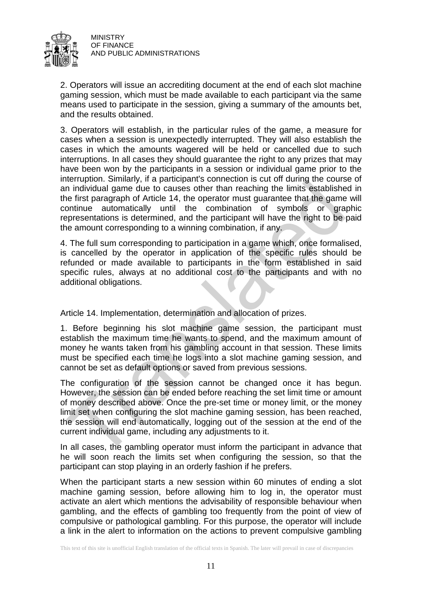

2. Operators will issue an accrediting document at the end of each slot machine gaming session, which must be made available to each participant via the same means used to participate in the session, giving a summary of the amounts bet, and the results obtained.

3. Operators will establish, in the particular rules of the game, a measure for cases when a session is unexpectedly interrupted. They will also establish the cases in which the amounts wagered will be held or cancelled due to such interruptions. In all cases they should guarantee the right to any prizes that may have been won by the participants in a session or individual game prior to the interruption. Similarly, if a participant's connection is cut off during the course of an individual game due to causes other than reaching the limits established in the first paragraph of Article 14, the operator must guarantee that the game will continue automatically until the combination of symbols or graphic representations is determined, and the participant will have the right to be paid the amount corresponding to a winning combination, if any.

4. The full sum corresponding to participation in a game which, once formalised, is cancelled by the operator in application of the specific rules should be refunded or made available to participants in the form established in said specific rules, always at no additional cost to the participants and with no additional obligations.

Article 14. Implementation, determination and allocation of prizes.

1. Before beginning his slot machine game session, the participant must establish the maximum time he wants to spend, and the maximum amount of money he wants taken from his gambling account in that session. These limits must be specified each time he logs into a slot machine gaming session, and cannot be set as default options or saved from previous sessions.

The configuration of the session cannot be changed once it has begun. However, the session can be ended before reaching the set limit time or amount of money described above. Once the pre-set time or money limit, or the money limit set when configuring the slot machine gaming session, has been reached, the session will end automatically, logging out of the session at the end of the current individual game, including any adjustments to it.

In all cases, the gambling operator must inform the participant in advance that he will soon reach the limits set when configuring the session, so that the participant can stop playing in an orderly fashion if he prefers.

When the participant starts a new session within 60 minutes of ending a slot machine gaming session, before allowing him to log in, the operator must activate an alert which mentions the advisability of responsible behaviour when gambling, and the effects of gambling too frequently from the point of view of compulsive or pathological gambling. For this purpose, the operator will include a link in the alert to information on the actions to prevent compulsive gambling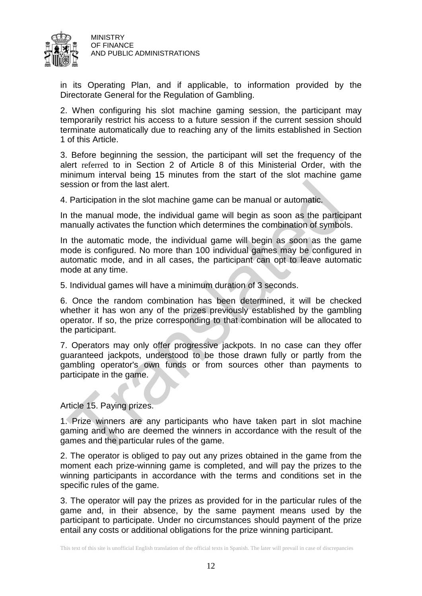

in its Operating Plan, and if applicable, to information provided by the Directorate General for the Regulation of Gambling.

2. When configuring his slot machine gaming session, the participant may temporarily restrict his access to a future session if the current session should terminate automatically due to reaching any of the limits established in Section 1 of this Article.

3. Before beginning the session, the participant will set the frequency of the alert referred to in Section 2 of Article 8 of this Ministerial Order, with the minimum interval being 15 minutes from the start of the slot machine game session or from the last alert.

4. Participation in the slot machine game can be manual or automatic.

In the manual mode, the individual game will begin as soon as the participant manually activates the function which determines the combination of symbols.

In the automatic mode, the individual game will begin as soon as the game mode is configured. No more than 100 individual games may be configured in automatic mode, and in all cases, the participant can opt to leave automatic mode at any time.

5. Individual games will have a minimum duration of 3 seconds.

6. Once the random combination has been determined, it will be checked whether it has won any of the prizes previously established by the gambling operator. If so, the prize corresponding to that combination will be allocated to the participant.

7. Operators may only offer progressive jackpots. In no case can they offer guaranteed jackpots, understood to be those drawn fully or partly from the gambling operator's own funds or from sources other than payments to participate in the game.

Article 15. Paying prizes.

1. Prize winners are any participants who have taken part in slot machine gaming and who are deemed the winners in accordance with the result of the games and the particular rules of the game.

2. The operator is obliged to pay out any prizes obtained in the game from the moment each prize-winning game is completed, and will pay the prizes to the winning participants in accordance with the terms and conditions set in the specific rules of the game.

3. The operator will pay the prizes as provided for in the particular rules of the game and, in their absence, by the same payment means used by the participant to participate. Under no circumstances should payment of the prize entail any costs or additional obligations for the prize winning participant.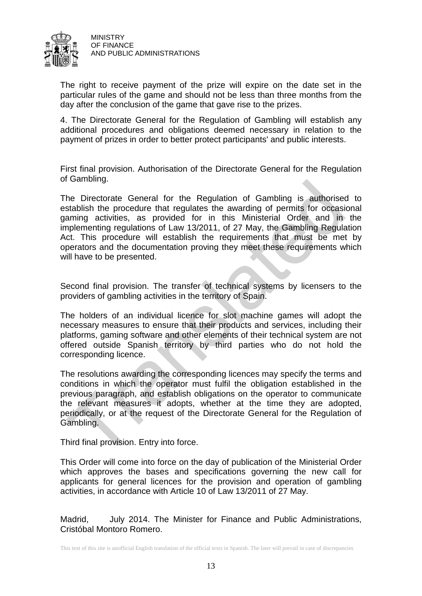

The right to receive payment of the prize will expire on the date set in the particular rules of the game and should not be less than three months from the day after the conclusion of the game that gave rise to the prizes.

4. The Directorate General for the Regulation of Gambling will establish any additional procedures and obligations deemed necessary in relation to the payment of prizes in order to better protect participants' and public interests.

First final provision. Authorisation of the Directorate General for the Regulation of Gambling.

The Directorate General for the Regulation of Gambling is authorised to establish the procedure that regulates the awarding of permits for occasional gaming activities, as provided for in this Ministerial Order and in the implementing regulations of Law 13/2011, of 27 May, the Gambling Regulation Act. This procedure will establish the requirements that must be met by operators and the documentation proving they meet these requirements which will have to be presented.

Second final provision. The transfer of technical systems by licensers to the providers of gambling activities in the territory of Spain.

The holders of an individual licence for slot machine games will adopt the necessary measures to ensure that their products and services, including their platforms, gaming software and other elements of their technical system are not offered outside Spanish territory by third parties who do not hold the corresponding licence.

The resolutions awarding the corresponding licences may specify the terms and conditions in which the operator must fulfil the obligation established in the previous paragraph, and establish obligations on the operator to communicate the relevant measures it adopts, whether at the time they are adopted, periodically, or at the request of the Directorate General for the Regulation of Gambling.

Third final provision. Entry into force.

This Order will come into force on the day of publication of the Ministerial Order which approves the bases and specifications governing the new call for applicants for general licences for the provision and operation of gambling activities, in accordance with Article 10 of Law 13/2011 of 27 May.

Madrid, July 2014. The Minister for Finance and Public Administrations, Cristóbal Montoro Romero.